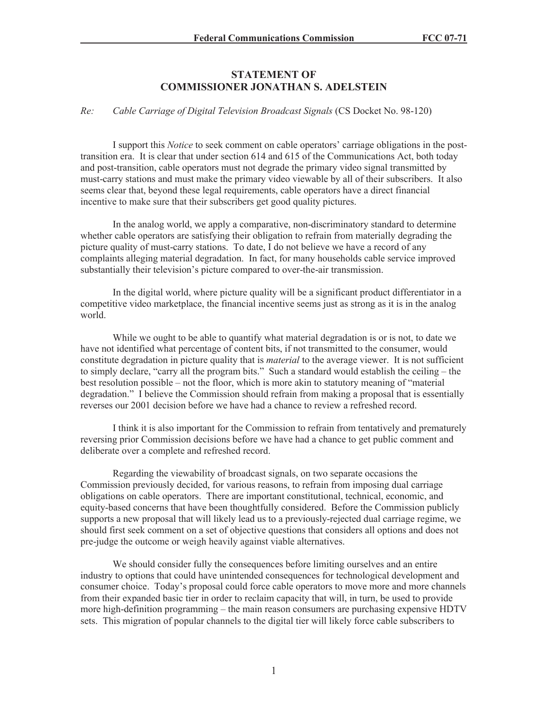## **STATEMENT OF COMMISSIONER JONATHAN S. ADELSTEIN**

## *Re: Cable Carriage of Digital Television Broadcast Signals* (CS Docket No. 98-120)

I support this *Notice* to seek comment on cable operators' carriage obligations in the posttransition era. It is clear that under section 614 and 615 of the Communications Act, both today and post-transition, cable operators must not degrade the primary video signal transmitted by must-carry stations and must make the primary video viewable by all of their subscribers. It also seems clear that, beyond these legal requirements, cable operators have a direct financial incentive to make sure that their subscribers get good quality pictures.

In the analog world, we apply a comparative, non-discriminatory standard to determine whether cable operators are satisfying their obligation to refrain from materially degrading the picture quality of must-carry stations. To date, I do not believe we have a record of any complaints alleging material degradation. In fact, for many households cable service improved substantially their television's picture compared to over-the-air transmission.

In the digital world, where picture quality will be a significant product differentiator in a competitive video marketplace, the financial incentive seems just as strong as it is in the analog world.

While we ought to be able to quantify what material degradation is or is not, to date we have not identified what percentage of content bits, if not transmitted to the consumer, would constitute degradation in picture quality that is *material* to the average viewer. It is not sufficient to simply declare, "carry all the program bits." Such a standard would establish the ceiling – the best resolution possible – not the floor, which is more akin to statutory meaning of "material degradation." I believe the Commission should refrain from making a proposal that is essentially reverses our 2001 decision before we have had a chance to review a refreshed record.

I think it is also important for the Commission to refrain from tentatively and prematurely reversing prior Commission decisions before we have had a chance to get public comment and deliberate over a complete and refreshed record.

Regarding the viewability of broadcast signals, on two separate occasions the Commission previously decided, for various reasons, to refrain from imposing dual carriage obligations on cable operators. There are important constitutional, technical, economic, and equity-based concerns that have been thoughtfully considered. Before the Commission publicly supports a new proposal that will likely lead us to a previously-rejected dual carriage regime, we should first seek comment on a set of objective questions that considers all options and does not pre-judge the outcome or weigh heavily against viable alternatives.

We should consider fully the consequences before limiting ourselves and an entire industry to options that could have unintended consequences for technological development and consumer choice. Today's proposal could force cable operators to move more and more channels from their expanded basic tier in order to reclaim capacity that will, in turn, be used to provide more high-definition programming – the main reason consumers are purchasing expensive HDTV sets. This migration of popular channels to the digital tier will likely force cable subscribers to